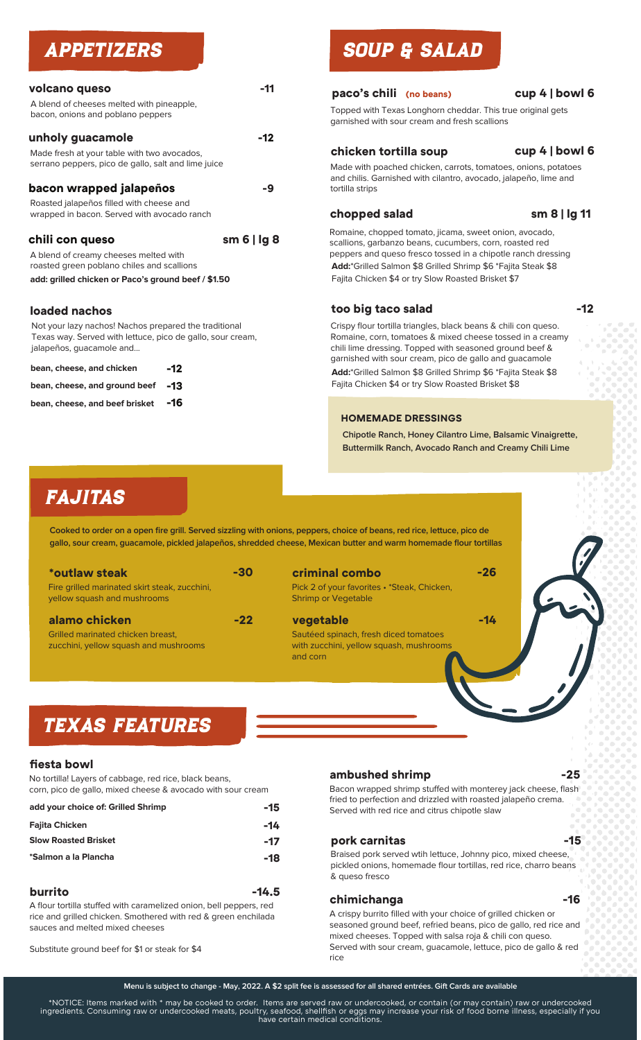| volcano queso<br>A blend of cheeses melted with pineapple,<br>bacon, onions and poblano peppers                                                               | -11     |
|---------------------------------------------------------------------------------------------------------------------------------------------------------------|---------|
| unholy guacamole<br>Made fresh at your table with two avocados,<br>serrano peppers, pico de gallo, salt and lime juice                                        | -12     |
| bacon wrapped jalapeños<br>Roasted jalapeños filled with cheese and<br>wrapped in bacon. Served with avocado ranch                                            | -9      |
| chili con queso<br>A blend of creamy cheeses melted with<br>roasted green poblano chiles and scallions<br>add: grilled chicken or Paco's ground beef / \$1.50 | sm6 lg8 |
|                                                                                                                                                               |         |

## **loaded nachos**

Not your lazy nachos! Nachos prepared the traditional Texas way. Served with lettuce, pico de gallo, sour cream, jalapeños, guacamole and...

| bean, cheese, and chicken         | -12 |
|-----------------------------------|-----|
| bean, cheese, and ground beef -13 |     |
| bean, cheese, and beef brisket    | -16 |

## APPETIZERS SOUP & SALAD

## **paco's chili (no beans) cup 4 | bowl 6**

Topped with Texas Longhorn cheddar. This true original gets garnished with sour cream and fresh scallions

#### **chicken tortilla soup**

## **cup 4 | bowl 6**

Made with poached chicken, carrots, tomatoes, onions, potatoes and chilis. Garnished with cilantro, avocado, jalapeño, lime and tortilla strips

## **chopped salad sm 8 | lg 11**

Romaine, chopped tomato, jicama, sweet onion, avocado, scallions, garbanzo beans, cucumbers, corn, roasted red peppers and queso fresco tossed in a chipotle ranch dressing **Add:**\*Grilled Salmon \$8 Grilled Shrimp \$6 \*Fajita Steak \$8 Fajita Chicken \$4 or try Slow Roasted Brisket \$7

## **too big taco salad -12**

Crispy flour tortilla triangles, black beans & chili con queso. Romaine, corn, tomatoes & mixed cheese tossed in a creamy chili lime dressing. Topped with seasoned ground beef & garnished with sour cream, pico de gallo and guacamole **Add:**\*Grilled Salmon \$8 Grilled Shrimp \$6 \*Fajita Steak \$8 Fajita Chicken \$4 or try Slow Roasted Brisket \$8

## **HOMEMADE DRESSINGS**

**Chipotle Ranch, Honey Cilantro Lime, Balsamic Vinaigrette, Buttermilk Ranch, Avocado Ranch and Creamy Chili Lime**

## FAJITAS

**Cooked to order on a open fire grill. Served sizzling with onions, peppers, choice of beans, red rice, lettuce, pico de gallo, sour cream, guacamole, pickled jalapeños, shredded cheese, Mexican butter and warm homemade flour tortillas**

| *outlaw steak                                 | $-30$ |
|-----------------------------------------------|-------|
| Fire grilled marinated skirt steak, zucchini, |       |
| yellow squash and mushrooms                   |       |

**alamo chicken -22** Grilled marinated chicken breast,

zucchini, yellow squash and mushrooms

**criminal combo -26**

and corn

Pick 2 of your favorites • \*Steak, Chicken, Shrimp or Vegetable

**vegetable -14**

Sautéed spinach, fresh diced tomatoes with zucchini, yellow squash, mushrooms

## TEXAS FEATURES

## **fiesta bowl**

No tortilla! Layers of cabbage, red rice, black beans, corn, pico de gallo, mixed cheese & avocado with sour cream

| add your choice of: Grilled Shrimp | -15   |
|------------------------------------|-------|
| <b>Fajita Chicken</b>              | -14   |
| <b>Slow Roasted Brisket</b>        | $-17$ |
| *Salmon a la Plancha               | -18   |
|                                    |       |

| burrito                                                          | $-14.5$ |
|------------------------------------------------------------------|---------|
| A flour tortillo stuffed with caramolized onion holl perpers red |         |

A flour tortilla stuffed with caramelized onion, bell peppers, red rice and grilled chicken. Smothered with red & green enchilada sauces and melted mixed cheeses

Substitute ground beef for \$1 or steak for \$4

## **ambushed shrimp -25**

Bacon wrapped shrimp stuffed with monterey jack cheese, flash fried to perfection and drizzled with roasted jalapeño crema. Served with red rice and citrus chipotle slaw

## **pork carnitas -15**

Braised pork served wtih lettuce, Johnny pico, mixed cheese, pickled onions, homemade flour tortillas, red rice, charro beans & queso fresco

## **chimichanga -16**

A crispy burrito filled with your choice of grilled chicken or seasoned ground beef, refried beans, pico de gallo, red rice and mixed cheeses. Topped with salsa roja & chili con queso. Served with sour cream, guacamole, lettuce, pico de gallo & red rice

**Menu is subject to change - May, 2022. A \$2 split fee is assessed for all shared entrées. Gift Cards are available**

\*NOTICE: Items marked with \* may be cooked to order. Items are served raw or undercooked, or contain (or may contain) raw or undercooked ingredients. Consuming raw or undercooked meats, poultry, seafood, shellfish or eggs may increase your risk of food borne illness, especially if you have certain medical conditions.